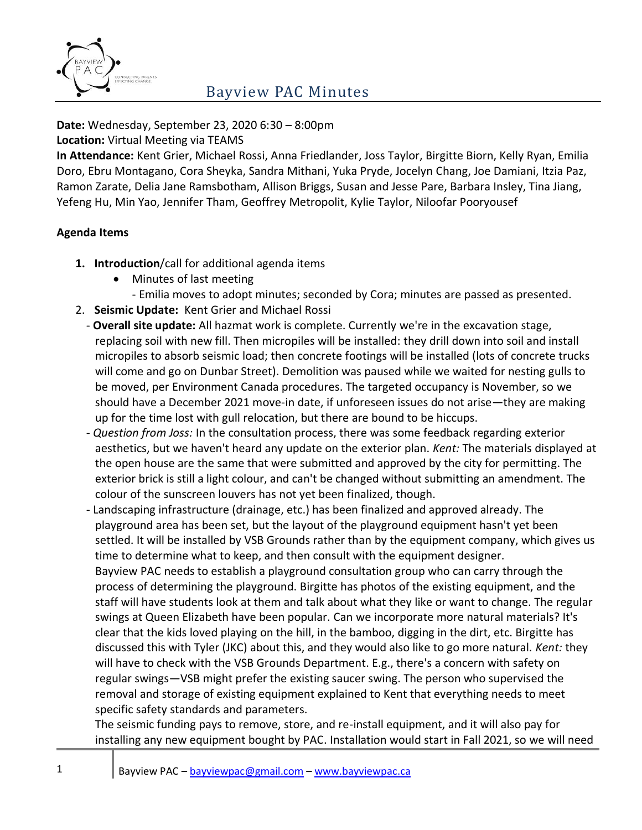

**Date:** Wednesday, September 23, 2020 6:30 – 8:00pm

**Location:** Virtual Meeting via TEAMS

**In Attendance:** Kent Grier, Michael Rossi, Anna Friedlander, Joss Taylor, Birgitte Biorn, Kelly Ryan, Emilia Doro, Ebru Montagano, Cora Sheyka, Sandra Mithani, Yuka Pryde, Jocelyn Chang, Joe Damiani, Itzia Paz, Ramon Zarate, Delia Jane Ramsbotham, Allison Briggs, Susan and Jesse Pare, Barbara Insley, Tina Jiang, Yefeng Hu, Min Yao, Jennifer Tham, Geoffrey Metropolit, Kylie Taylor, Niloofar Pooryousef

#### **Agenda Items**

- **1. Introduction**/call for additional agenda items
	- Minutes of last meeting
		- Emilia moves to adopt minutes; seconded by Cora; minutes are passed as presented.
- 2. **Seismic Update:** Kent Grier and Michael Rossi
- **Overall site update:** All hazmat work is complete. Currently we're in the excavation stage, replacing soil with new fill. Then micropiles will be installed: they drill down into soil and install micropiles to absorb seismic load; then concrete footings will be installed (lots of concrete trucks will come and go on Dunbar Street). Demolition was paused while we waited for nesting gulls to be moved, per Environment Canada procedures. The targeted occupancy is November, so we should have a December 2021 move-in date, if unforeseen issues do not arise—they are making up for the time lost with gull relocation, but there are bound to be hiccups.
- *Question from Joss:* In the consultation process, there was some feedback regarding exterior aesthetics, but we haven't heard any update on the exterior plan. *Kent:* The materials displayed at the open house are the same that were submitted and approved by the city for permitting. The exterior brick is still a light colour, and can't be changed without submitting an amendment. The colour of the sunscreen louvers has not yet been finalized, though.
- Landscaping infrastructure (drainage, etc.) has been finalized and approved already. The playground area has been set, but the layout of the playground equipment hasn't yet been settled. It will be installed by VSB Grounds rather than by the equipment company, which gives us time to determine what to keep, and then consult with the equipment designer.
	- Bayview PAC needs to establish a playground consultation group who can carry through the process of determining the playground. Birgitte has photos of the existing equipment, and the staff will have students look at them and talk about what they like or want to change. The regular swings at Queen Elizabeth have been popular. Can we incorporate more natural materials? It's clear that the kids loved playing on the hill, in the bamboo, digging in the dirt, etc. Birgitte has discussed this with Tyler (JKC) about this, and they would also like to go more natural. *Kent:* they will have to check with the VSB Grounds Department. E.g., there's a concern with safety on regular swings—VSB might prefer the existing saucer swing. The person who supervised the removal and storage of existing equipment explained to Kent that everything needs to meet specific safety standards and parameters.

The seismic funding pays to remove, store, and re-install equipment, and it will also pay for installing any new equipment bought by PAC. Installation would start in Fall 2021, so we will need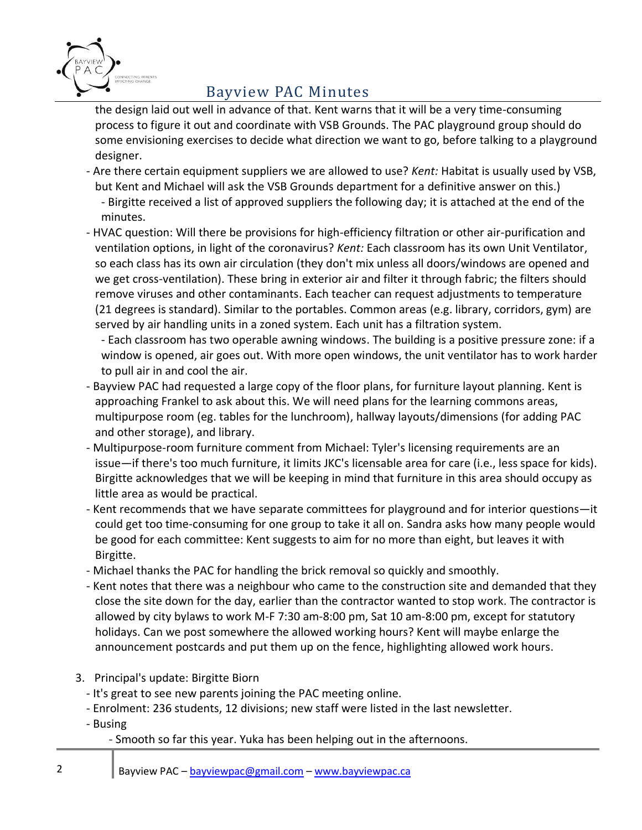

the design laid out well in advance of that. Kent warns that it will be a very time-consuming process to figure it out and coordinate with VSB Grounds. The PAC playground group should do some envisioning exercises to decide what direction we want to go, before talking to a playground designer.

- Are there certain equipment suppliers we are allowed to use? *Kent:* Habitat is usually used by VSB, but Kent and Michael will ask the VSB Grounds department for a definitive answer on this.) - Birgitte received a list of approved suppliers the following day; it is attached at the end of the minutes.
- HVAC question: Will there be provisions for high-efficiency filtration or other air-purification and ventilation options, in light of the coronavirus? *Kent:* Each classroom has its own Unit Ventilator, so each class has its own air circulation (they don't mix unless all doors/windows are opened and we get cross-ventilation). These bring in exterior air and filter it through fabric; the filters should remove viruses and other contaminants. Each teacher can request adjustments to temperature (21 degrees is standard). Similar to the portables. Common areas (e.g. library, corridors, gym) are served by air handling units in a zoned system. Each unit has a filtration system.
	- Each classroom has two operable awning windows. The building is a positive pressure zone: if a window is opened, air goes out. With more open windows, the unit ventilator has to work harder to pull air in and cool the air.
- Bayview PAC had requested a large copy of the floor plans, for furniture layout planning. Kent is approaching Frankel to ask about this. We will need plans for the learning commons areas, multipurpose room (eg. tables for the lunchroom), hallway layouts/dimensions (for adding PAC and other storage), and library.
- Multipurpose-room furniture comment from Michael: Tyler's licensing requirements are an issue—if there's too much furniture, it limits JKC's licensable area for care (i.e., less space for kids). Birgitte acknowledges that we will be keeping in mind that furniture in this area should occupy as little area as would be practical.
- Kent recommends that we have separate committees for playground and for interior questions—it could get too time-consuming for one group to take it all on. Sandra asks how many people would be good for each committee: Kent suggests to aim for no more than eight, but leaves it with Birgitte.
- Michael thanks the PAC for handling the brick removal so quickly and smoothly.
- Kent notes that there was a neighbour who came to the construction site and demanded that they close the site down for the day, earlier than the contractor wanted to stop work. The contractor is allowed by city bylaws to work M-F 7:30 am-8:00 pm, Sat 10 am-8:00 pm, except for statutory holidays. Can we post somewhere the allowed working hours? Kent will maybe enlarge the announcement postcards and put them up on the fence, highlighting allowed work hours.
- 3. Principal's update: Birgitte Biorn
	- It's great to see new parents joining the PAC meeting online.
	- Enrolment: 236 students, 12 divisions; new staff were listed in the last newsletter.
	- Busing
		- Smooth so far this year. Yuka has been helping out in the afternoons.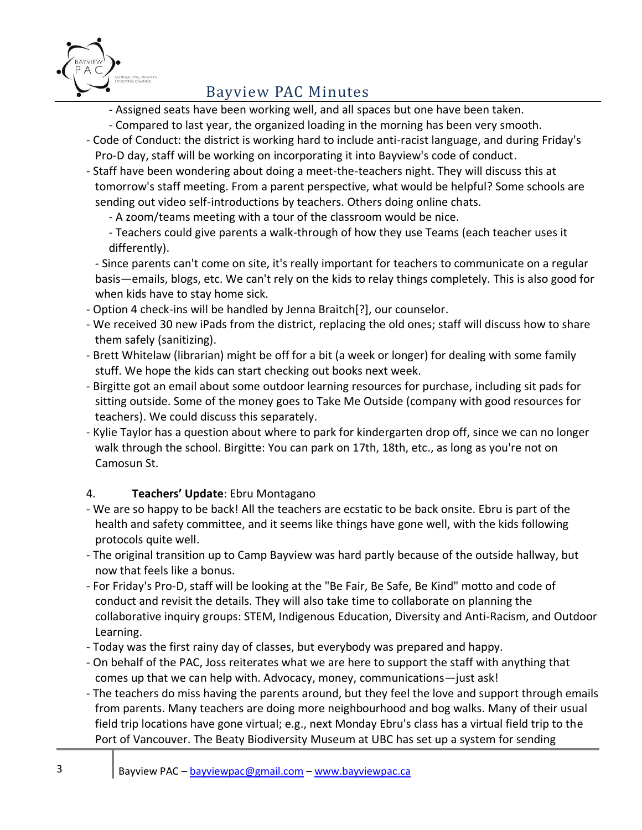

- Assigned seats have been working well, and all spaces but one have been taken.
- Compared to last year, the organized loading in the morning has been very smooth.
- Code of Conduct: the district is working hard to include anti-racist language, and during Friday's Pro-D day, staff will be working on incorporating it into Bayview's code of conduct.
- Staff have been wondering about doing a meet-the-teachers night. They will discuss this at tomorrow's staff meeting. From a parent perspective, what would be helpful? Some schools are sending out video self-introductions by teachers. Others doing online chats.

- A zoom/teams meeting with a tour of the classroom would be nice.

- Teachers could give parents a walk-through of how they use Teams (each teacher uses it differently).

- Since parents can't come on site, it's really important for teachers to communicate on a regular basis—emails, blogs, etc. We can't rely on the kids to relay things completely. This is also good for when kids have to stay home sick.

- Option 4 check-ins will be handled by Jenna Braitch[?], our counselor.
- We received 30 new iPads from the district, replacing the old ones; staff will discuss how to share them safely (sanitizing).
- Brett Whitelaw (librarian) might be off for a bit (a week or longer) for dealing with some family stuff. We hope the kids can start checking out books next week.
- Birgitte got an email about some outdoor learning resources for purchase, including sit pads for sitting outside. Some of the money goes to Take Me Outside (company with good resources for teachers). We could discuss this separately.
- Kylie Taylor has a question about where to park for kindergarten drop off, since we can no longer walk through the school. Birgitte: You can park on 17th, 18th, etc., as long as you're not on Camosun St.

### 4. **Teachers' Update**: Ebru Montagano

- We are so happy to be back! All the teachers are ecstatic to be back onsite. Ebru is part of the health and safety committee, and it seems like things have gone well, with the kids following protocols quite well.
- The original transition up to Camp Bayview was hard partly because of the outside hallway, but now that feels like a bonus.
- For Friday's Pro-D, staff will be looking at the "Be Fair, Be Safe, Be Kind" motto and code of conduct and revisit the details. They will also take time to collaborate on planning the collaborative inquiry groups: STEM, Indigenous Education, Diversity and Anti-Racism, and Outdoor Learning.
- Today was the first rainy day of classes, but everybody was prepared and happy.
- On behalf of the PAC, Joss reiterates what we are here to support the staff with anything that comes up that we can help with. Advocacy, money, communications—just ask!
- The teachers do miss having the parents around, but they feel the love and support through emails from parents. Many teachers are doing more neighbourhood and bog walks. Many of their usual field trip locations have gone virtual; e.g., next Monday Ebru's class has a virtual field trip to the Port of Vancouver. The Beaty Biodiversity Museum at UBC has set up a system for sending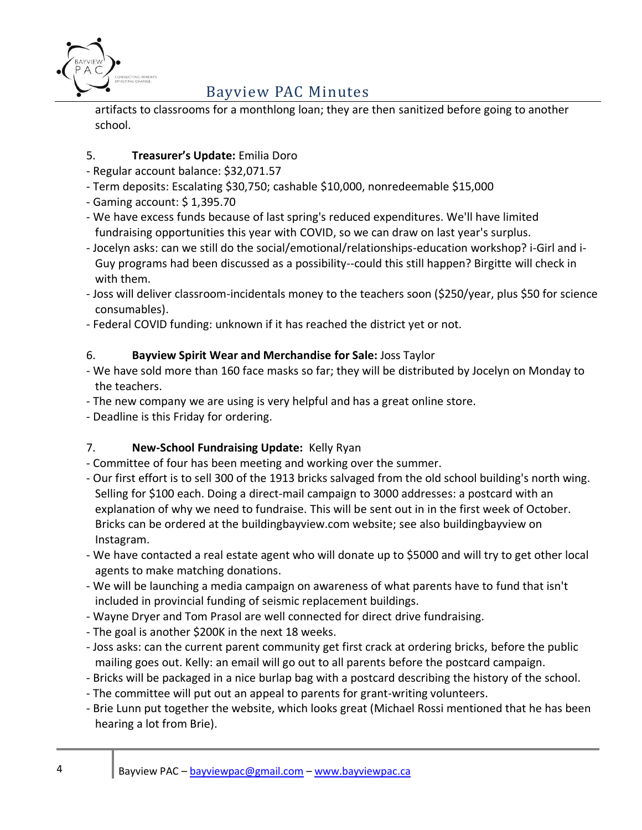

artifacts to classrooms for a monthlong loan; they are then sanitized before going to another school.

### 5. **Treasurer's Update:** Emilia Doro

- Regular account balance: \$32,071.57
- Term deposits: Escalating \$30,750; cashable \$10,000, nonredeemable \$15,000
- Gaming account: \$ 1,395.70
- We have excess funds because of last spring's reduced expenditures. We'll have limited fundraising opportunities this year with COVID, so we can draw on last year's surplus.
- Jocelyn asks: can we still do the social/emotional/relationships-education workshop? i-Girl and i-Guy programs had been discussed as a possibility--could this still happen? Birgitte will check in with them.
- Joss will deliver classroom-incidentals money to the teachers soon (\$250/year, plus \$50 for science consumables).
- Federal COVID funding: unknown if it has reached the district yet or not.

#### 6. **Bayview Spirit Wear and Merchandise for Sale:** Joss Taylor

- We have sold more than 160 face masks so far; they will be distributed by Jocelyn on Monday to the teachers.
- The new company we are using is very helpful and has a great online store.
- Deadline is this Friday for ordering.

### 7. **New-School Fundraising Update:** Kelly Ryan

- Committee of four has been meeting and working over the summer.
- Our first effort is to sell 300 of the 1913 bricks salvaged from the old school building's north wing. Selling for \$100 each. Doing a direct-mail campaign to 3000 addresses: a postcard with an explanation of why we need to fundraise. This will be sent out in in the first week of October. Bricks can be ordered at the buildingbayview.com website; see also buildingbayview on Instagram.
- We have contacted a real estate agent who will donate up to \$5000 and will try to get other local agents to make matching donations.
- We will be launching a media campaign on awareness of what parents have to fund that isn't included in provincial funding of seismic replacement buildings.
- Wayne Dryer and Tom Prasol are well connected for direct drive fundraising.
- The goal is another \$200K in the next 18 weeks.
- Joss asks: can the current parent community get first crack at ordering bricks, before the public mailing goes out. Kelly: an email will go out to all parents before the postcard campaign.
- Bricks will be packaged in a nice burlap bag with a postcard describing the history of the school.
- The committee will put out an appeal to parents for grant-writing volunteers.
- Brie Lunn put together the website, which looks great (Michael Rossi mentioned that he has been hearing a lot from Brie).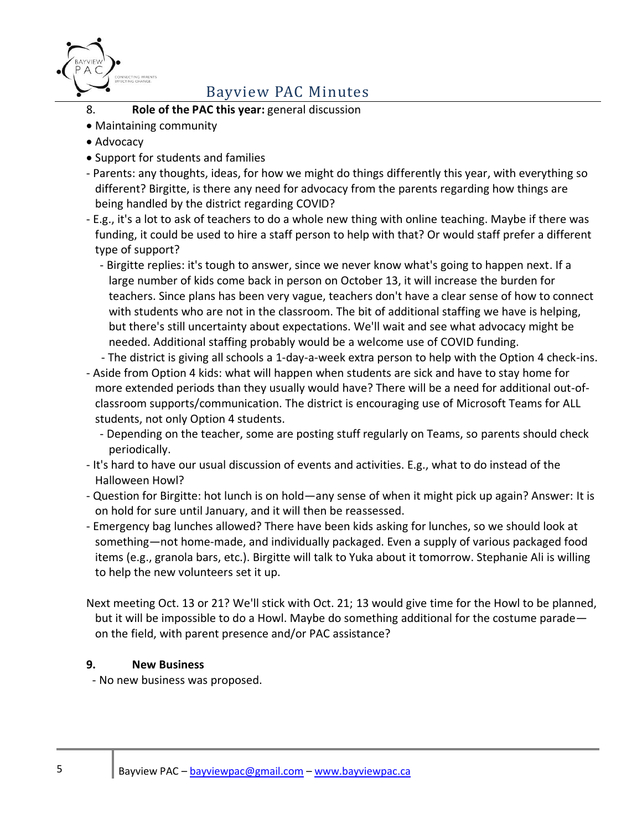

- 8. **Role of the PAC this year:** general discussion
- Maintaining community
- Advocacy
- Support for students and families
- Parents: any thoughts, ideas, for how we might do things differently this year, with everything so different? Birgitte, is there any need for advocacy from the parents regarding how things are being handled by the district regarding COVID?
- E.g., it's a lot to ask of teachers to do a whole new thing with online teaching. Maybe if there was funding, it could be used to hire a staff person to help with that? Or would staff prefer a different type of support?
	- Birgitte replies: it's tough to answer, since we never know what's going to happen next. If a large number of kids come back in person on October 13, it will increase the burden for teachers. Since plans has been very vague, teachers don't have a clear sense of how to connect with students who are not in the classroom. The bit of additional staffing we have is helping, but there's still uncertainty about expectations. We'll wait and see what advocacy might be needed. Additional staffing probably would be a welcome use of COVID funding.
	- The district is giving all schools a 1-day-a-week extra person to help with the Option 4 check-ins.
- Aside from Option 4 kids: what will happen when students are sick and have to stay home for more extended periods than they usually would have? There will be a need for additional out-ofclassroom supports/communication. The district is encouraging use of Microsoft Teams for ALL students, not only Option 4 students.
	- Depending on the teacher, some are posting stuff regularly on Teams, so parents should check periodically.
- It's hard to have our usual discussion of events and activities. E.g., what to do instead of the Halloween Howl?
- Question for Birgitte: hot lunch is on hold—any sense of when it might pick up again? Answer: It is on hold for sure until January, and it will then be reassessed.
- Emergency bag lunches allowed? There have been kids asking for lunches, so we should look at something—not home-made, and individually packaged. Even a supply of various packaged food items (e.g., granola bars, etc.). Birgitte will talk to Yuka about it tomorrow. Stephanie Ali is willing to help the new volunteers set it up.
- Next meeting Oct. 13 or 21? We'll stick with Oct. 21; 13 would give time for the Howl to be planned, but it will be impossible to do a Howl. Maybe do something additional for the costume parade on the field, with parent presence and/or PAC assistance?

#### **9. New Business**

- No new business was proposed.